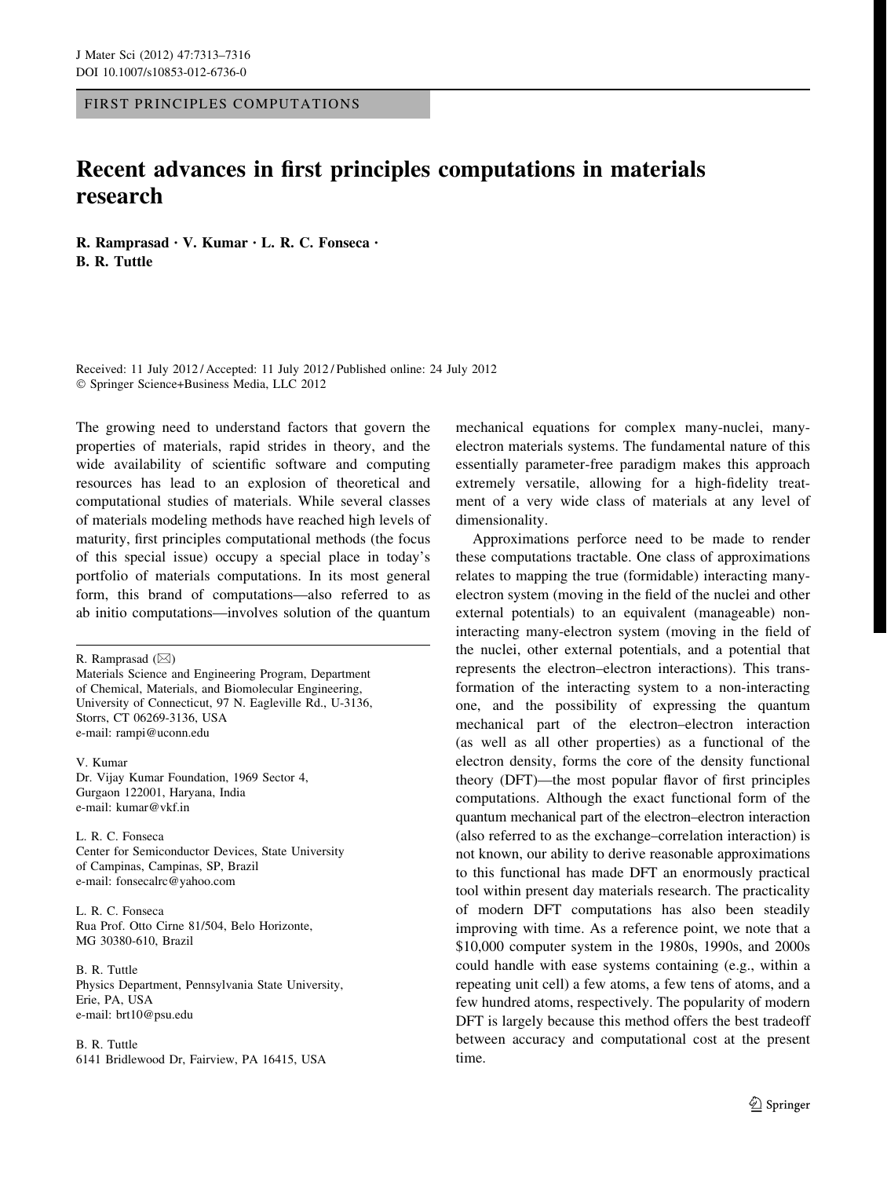FIRST PRINCIPLES COMPUTATIONS

## Recent advances in first principles computations in materials research

R. Ramprasad • V. Kumar • L. R. C. Fonseca • B. R. Tuttle

Received: 11 July 2012 / Accepted: 11 July 2012 / Published online: 24 July 2012 - Springer Science+Business Media, LLC 2012

The growing need to understand factors that govern the properties of materials, rapid strides in theory, and the wide availability of scientific software and computing resources has lead to an explosion of theoretical and computational studies of materials. While several classes of materials modeling methods have reached high levels of maturity, first principles computational methods (the focus of this special issue) occupy a special place in today's portfolio of materials computations. In its most general form, this brand of computations—also referred to as ab initio computations—involves solution of the quantum

R. Ramprasad  $(\boxtimes)$ Materials Science and Engineering Program, Department of Chemical, Materials, and Biomolecular Engineering, University of Connecticut, 97 N. Eagleville Rd., U-3136, Storrs, CT 06269-3136, USA e-mail: rampi@uconn.edu

V. Kumar Dr. Vijay Kumar Foundation, 1969 Sector 4, Gurgaon 122001, Haryana, India e-mail: kumar@vkf.in

L. R. C. Fonseca Center for Semiconductor Devices, State University of Campinas, Campinas, SP, Brazil e-mail: fonsecalrc@yahoo.com

L. R. C. Fonseca Rua Prof. Otto Cirne 81/504, Belo Horizonte, MG 30380-610, Brazil

B. R. Tuttle Physics Department, Pennsylvania State University, Erie, PA, USA e-mail: brt10@psu.edu

B. R. Tuttle 6141 Bridlewood Dr, Fairview, PA 16415, USA mechanical equations for complex many-nuclei, manyelectron materials systems. The fundamental nature of this essentially parameter-free paradigm makes this approach extremely versatile, allowing for a high-fidelity treatment of a very wide class of materials at any level of dimensionality.

Approximations perforce need to be made to render these computations tractable. One class of approximations relates to mapping the true (formidable) interacting manyelectron system (moving in the field of the nuclei and other external potentials) to an equivalent (manageable) noninteracting many-electron system (moving in the field of the nuclei, other external potentials, and a potential that represents the electron–electron interactions). This transformation of the interacting system to a non-interacting one, and the possibility of expressing the quantum mechanical part of the electron–electron interaction (as well as all other properties) as a functional of the electron density, forms the core of the density functional theory (DFT)—the most popular flavor of first principles computations. Although the exact functional form of the quantum mechanical part of the electron–electron interaction (also referred to as the exchange–correlation interaction) is not known, our ability to derive reasonable approximations to this functional has made DFT an enormously practical tool within present day materials research. The practicality of modern DFT computations has also been steadily improving with time. As a reference point, we note that a \$10,000 computer system in the 1980s, 1990s, and 2000s could handle with ease systems containing (e.g., within a repeating unit cell) a few atoms, a few tens of atoms, and a few hundred atoms, respectively. The popularity of modern DFT is largely because this method offers the best tradeoff between accuracy and computational cost at the present time.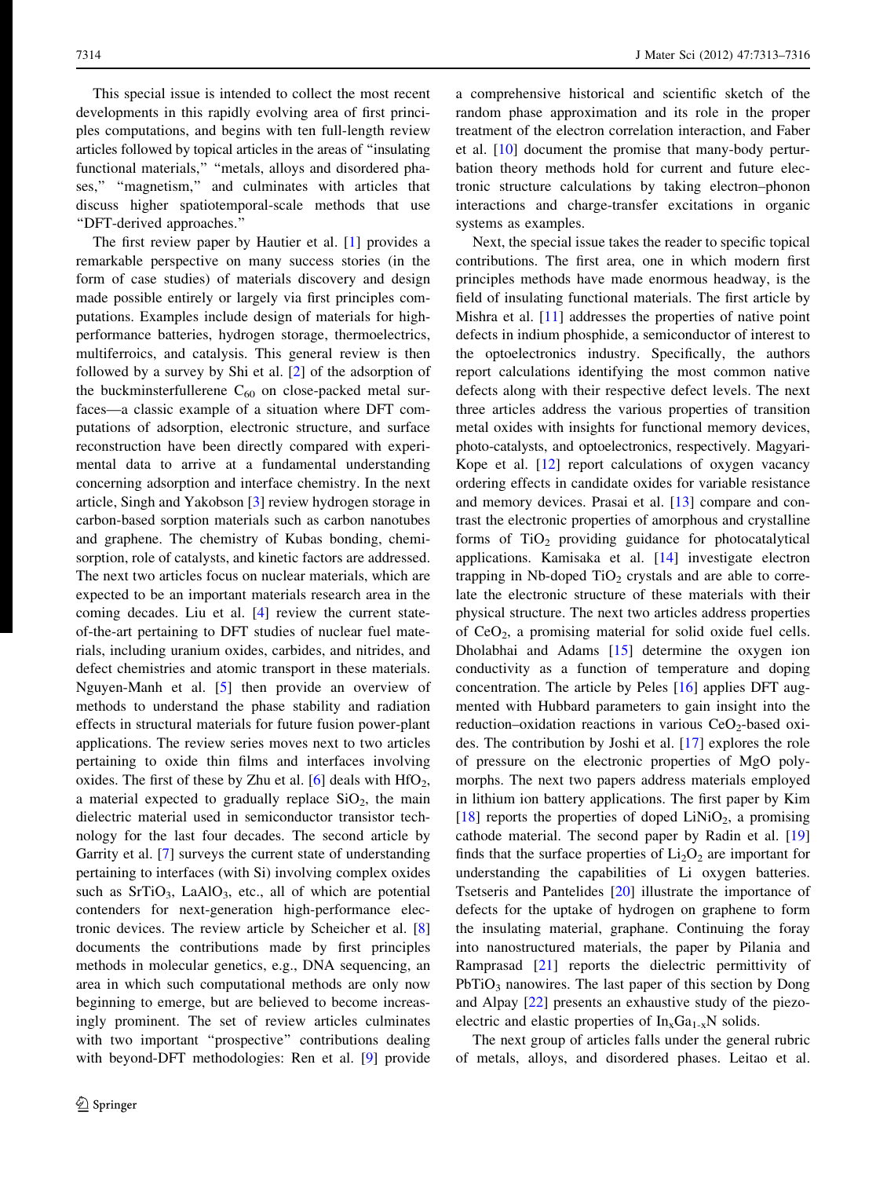This special issue is intended to collect the most recent developments in this rapidly evolving area of first principles computations, and begins with ten full-length review articles followed by topical articles in the areas of ''insulating functional materials," "metals, alloys and disordered phases,'' ''magnetism,'' and culminates with articles that discuss higher spatiotemporal-scale methods that use ''DFT-derived approaches.''

The first review paper by Hautier et al. [\[1](#page-2-0)] provides a remarkable perspective on many success stories (in the form of case studies) of materials discovery and design made possible entirely or largely via first principles computations. Examples include design of materials for highperformance batteries, hydrogen storage, thermoelectrics, multiferroics, and catalysis. This general review is then followed by a survey by Shi et al. [[2\]](#page-2-0) of the adsorption of the buckminsterfullerene  $C_{60}$  on close-packed metal surfaces—a classic example of a situation where DFT computations of adsorption, electronic structure, and surface reconstruction have been directly compared with experimental data to arrive at a fundamental understanding concerning adsorption and interface chemistry. In the next article, Singh and Yakobson [[3\]](#page-2-0) review hydrogen storage in carbon-based sorption materials such as carbon nanotubes and graphene. The chemistry of Kubas bonding, chemisorption, role of catalysts, and kinetic factors are addressed. The next two articles focus on nuclear materials, which are expected to be an important materials research area in the coming decades. Liu et al. [[4\]](#page-2-0) review the current stateof-the-art pertaining to DFT studies of nuclear fuel materials, including uranium oxides, carbides, and nitrides, and defect chemistries and atomic transport in these materials. Nguyen-Manh et al. [[5\]](#page-2-0) then provide an overview of methods to understand the phase stability and radiation effects in structural materials for future fusion power-plant applications. The review series moves next to two articles pertaining to oxide thin films and interfaces involving oxides. The first of these by Zhu et al.  $[6]$  $[6]$  deals with  $HfO<sub>2</sub>$ , a material expected to gradually replace  $SiO<sub>2</sub>$ , the main dielectric material used in semiconductor transistor technology for the last four decades. The second article by Garrity et al. [[7\]](#page-2-0) surveys the current state of understanding pertaining to interfaces (with Si) involving complex oxides such as  $SrTiO<sub>3</sub>$ , LaAlO<sub>3</sub>, etc., all of which are potential contenders for next-generation high-performance electronic devices. The review article by Scheicher et al. [[8\]](#page-2-0) documents the contributions made by first principles methods in molecular genetics, e.g., DNA sequencing, an area in which such computational methods are only now beginning to emerge, but are believed to become increasingly prominent. The set of review articles culminates with two important "prospective" contributions dealing with beyond-DFT methodologies: Ren et al. [[9\]](#page-2-0) provide

a comprehensive historical and scientific sketch of the random phase approximation and its role in the proper treatment of the electron correlation interaction, and Faber et al. [[10\]](#page-2-0) document the promise that many-body perturbation theory methods hold for current and future electronic structure calculations by taking electron–phonon interactions and charge-transfer excitations in organic systems as examples.

Next, the special issue takes the reader to specific topical contributions. The first area, one in which modern first principles methods have made enormous headway, is the field of insulating functional materials. The first article by Mishra et al. [\[11](#page-2-0)] addresses the properties of native point defects in indium phosphide, a semiconductor of interest to the optoelectronics industry. Specifically, the authors report calculations identifying the most common native defects along with their respective defect levels. The next three articles address the various properties of transition metal oxides with insights for functional memory devices, photo-catalysts, and optoelectronics, respectively. Magyari-Kope et al. [\[12](#page-2-0)] report calculations of oxygen vacancy ordering effects in candidate oxides for variable resistance and memory devices. Prasai et al. [\[13](#page-2-0)] compare and contrast the electronic properties of amorphous and crystalline forms of  $TiO<sub>2</sub>$  providing guidance for photocatalytical applications. Kamisaka et al. [[14\]](#page-2-0) investigate electron trapping in Nb-doped  $TiO<sub>2</sub>$  crystals and are able to correlate the electronic structure of these materials with their physical structure. The next two articles address properties of  $CeO<sub>2</sub>$ , a promising material for solid oxide fuel cells. Dholabhai and Adams [\[15](#page-2-0)] determine the oxygen ion conductivity as a function of temperature and doping concentration. The article by Peles [[16\]](#page-2-0) applies DFT augmented with Hubbard parameters to gain insight into the reduction–oxidation reactions in various  $CeO<sub>2</sub>$ -based oxides. The contribution by Joshi et al. [[17\]](#page-2-0) explores the role of pressure on the electronic properties of MgO polymorphs. The next two papers address materials employed in lithium ion battery applications. The first paper by Kim [\[18](#page-2-0)] reports the properties of doped  $LiNiO<sub>2</sub>$ , a promising cathode material. The second paper by Radin et al. [[19\]](#page-2-0) finds that the surface properties of  $Li<sub>2</sub>O<sub>2</sub>$  are important for understanding the capabilities of Li oxygen batteries. Tsetseris and Pantelides [\[20](#page-2-0)] illustrate the importance of defects for the uptake of hydrogen on graphene to form the insulating material, graphane. Continuing the foray into nanostructured materials, the paper by Pilania and Ramprasad [[21\]](#page-2-0) reports the dielectric permittivity of  $PbTiO<sub>3</sub>$  nanowires. The last paper of this section by Dong and Alpay [\[22](#page-2-0)] presents an exhaustive study of the piezoelectric and elastic properties of  $In_xGa_{1-x}N$  solids.

The next group of articles falls under the general rubric of metals, alloys, and disordered phases. Leitao et al.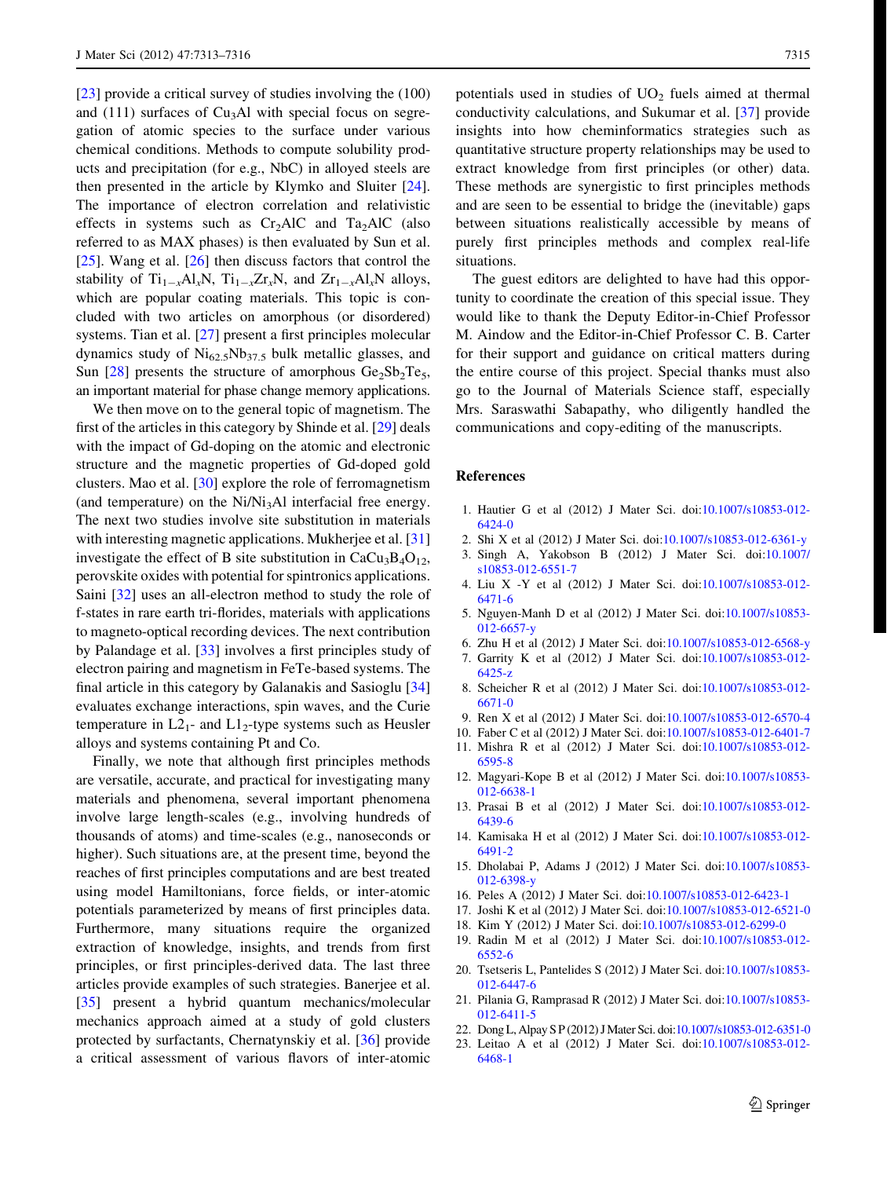<span id="page-2-0"></span>[23] provide a critical survey of studies involving the (100) and  $(111)$  surfaces of Cu<sub>3</sub>Al with special focus on segregation of atomic species to the surface under various chemical conditions. Methods to compute solubility products and precipitation (for e.g., NbC) in alloyed steels are then presented in the article by Klymko and Sluiter [\[24](#page-3-0)]. The importance of electron correlation and relativistic effects in systems such as  $Cr<sub>2</sub>AIC$  and  $Ta<sub>2</sub>AIC$  (also referred to as MAX phases) is then evaluated by Sun et al. [\[25](#page-3-0)]. Wang et al. [\[26](#page-3-0)] then discuss factors that control the stability of  $Ti_{1-x}Al_xN$ ,  $Ti_{1-x}Zr_xN$ , and  $Zr_{1-x}Al_xN$  alloys, which are popular coating materials. This topic is concluded with two articles on amorphous (or disordered) systems. Tian et al. [\[27](#page-3-0)] present a first principles molecular dynamics study of  $Ni_{62.5}Nb_{37.5}$  bulk metallic glasses, and Sun  $[28]$  $[28]$  presents the structure of amorphous  $Ge_2Sb_2Te_5$ , an important material for phase change memory applications.

We then move on to the general topic of magnetism. The first of the articles in this category by Shinde et al. [\[29](#page-3-0)] deals with the impact of Gd-doping on the atomic and electronic structure and the magnetic properties of Gd-doped gold clusters. Mao et al. [\[30](#page-3-0)] explore the role of ferromagnetism (and temperature) on the  $Ni/Ni<sub>3</sub>Al$  interfacial free energy. The next two studies involve site substitution in materials with interesting magnetic applications. Mukherjee et al. [[31\]](#page-3-0) investigate the effect of B site substitution in  $CaCu<sub>3</sub>B<sub>4</sub>O<sub>12</sub>$ , perovskite oxides with potential for spintronics applications. Saini [\[32](#page-3-0)] uses an all-electron method to study the role of f-states in rare earth tri-florides, materials with applications to magneto-optical recording devices. The next contribution by Palandage et al. [[33\]](#page-3-0) involves a first principles study of electron pairing and magnetism in FeTe-based systems. The final article in this category by Galanakis and Sasioglu [[34\]](#page-3-0) evaluates exchange interactions, spin waves, and the Curie temperature in  $L2_1$ - and  $L1_2$ -type systems such as Heusler alloys and systems containing Pt and Co.

Finally, we note that although first principles methods are versatile, accurate, and practical for investigating many materials and phenomena, several important phenomena involve large length-scales (e.g., involving hundreds of thousands of atoms) and time-scales (e.g., nanoseconds or higher). Such situations are, at the present time, beyond the reaches of first principles computations and are best treated using model Hamiltonians, force fields, or inter-atomic potentials parameterized by means of first principles data. Furthermore, many situations require the organized extraction of knowledge, insights, and trends from first principles, or first principles-derived data. The last three articles provide examples of such strategies. Banerjee et al. [\[35](#page-3-0)] present a hybrid quantum mechanics/molecular mechanics approach aimed at a study of gold clusters protected by surfactants, Chernatynskiy et al. [\[36](#page-3-0)] provide a critical assessment of various flavors of inter-atomic potentials used in studies of  $UO<sub>2</sub>$  fuels aimed at thermal conductivity calculations, and Sukumar et al. [\[37](#page-3-0)] provide insights into how cheminformatics strategies such as quantitative structure property relationships may be used to extract knowledge from first principles (or other) data. These methods are synergistic to first principles methods and are seen to be essential to bridge the (inevitable) gaps between situations realistically accessible by means of purely first principles methods and complex real-life situations.

The guest editors are delighted to have had this opportunity to coordinate the creation of this special issue. They would like to thank the Deputy Editor-in-Chief Professor M. Aindow and the Editor-in-Chief Professor C. B. Carter for their support and guidance on critical matters during the entire course of this project. Special thanks must also go to the Journal of Materials Science staff, especially Mrs. Saraswathi Sabapathy, who diligently handled the communications and copy-editing of the manuscripts.

## References

- 1. Hautier G et al (2012) J Mater Sci. doi:[10.1007/s10853-012-](http://dx.doi.org/10.1007/s10853-012-6424-0) [6424-0](http://dx.doi.org/10.1007/s10853-012-6424-0)
- 2. Shi X et al (2012) J Mater Sci. doi[:10.1007/s10853-012-6361-y](http://dx.doi.org/10.1007/s10853-012-6361-y)
- 3. Singh A, Yakobson B (2012) J Mater Sci. doi[:10.1007/](http://dx.doi.org/10.1007/s10853-012-6551-7) [s10853-012-6551-7](http://dx.doi.org/10.1007/s10853-012-6551-7)
- 4. Liu X -Y et al (2012) J Mater Sci. doi:[10.1007/s10853-012-](http://dx.doi.org/10.1007/s10853-012-6471-6) [6471-6](http://dx.doi.org/10.1007/s10853-012-6471-6)
- 5. Nguyen-Manh D et al (2012) J Mater Sci. doi[:10.1007/s10853-](http://dx.doi.org/10.1007/s10853-012-6657-y) [012-6657-y](http://dx.doi.org/10.1007/s10853-012-6657-y)
- 6. Zhu H et al (2012) J Mater Sci. doi:[10.1007/s10853-012-6568-y](http://dx.doi.org/10.1007/s10853-012-6568-y)
- 7. Garrity K et al (2012) J Mater Sci. doi:[10.1007/s10853-012-](http://dx.doi.org/10.1007/s10853-012-6425-z) [6425-z](http://dx.doi.org/10.1007/s10853-012-6425-z)
- 8. Scheicher R et al (2012) J Mater Sci. doi:[10.1007/s10853-012-](http://dx.doi.org/10.1007/s10853-012-6671-0) [6671-0](http://dx.doi.org/10.1007/s10853-012-6671-0)
- 9. Ren X et al (2012) J Mater Sci. doi:[10.1007/s10853-012-6570-4](http://dx.doi.org/10.1007/s10853-012-6570-4)
- 10. Faber C et al (2012) J Mater Sci. doi:[10.1007/s10853-012-6401-7](http://dx.doi.org/10.1007/s10853-012-6401-7)
- 11. Mishra R et al (2012) J Mater Sci. doi:[10.1007/s10853-012-](http://dx.doi.org/10.1007/s10853-012-6595-8) [6595-8](http://dx.doi.org/10.1007/s10853-012-6595-8)
- 12. Magyari-Kope B et al (2012) J Mater Sci. doi[:10.1007/s10853-](http://dx.doi.org/10.1007/s10853-012-6638-1) [012-6638-1](http://dx.doi.org/10.1007/s10853-012-6638-1)
- 13. Prasai B et al (2012) J Mater Sci. doi:[10.1007/s10853-012-](http://dx.doi.org/10.1007/s10853-012-6439-6) [6439-6](http://dx.doi.org/10.1007/s10853-012-6439-6)
- 14. Kamisaka H et al (2012) J Mater Sci. doi:[10.1007/s10853-012-](http://dx.doi.org/10.1007/s10853-012-6491-2) [6491-2](http://dx.doi.org/10.1007/s10853-012-6491-2)
- 15. Dholabai P, Adams J (2012) J Mater Sci. doi[:10.1007/s10853-](http://dx.doi.org/10.1007/s10853-012-6398-y) [012-6398-y](http://dx.doi.org/10.1007/s10853-012-6398-y)
- 16. Peles A (2012) J Mater Sci. doi[:10.1007/s10853-012-6423-1](http://dx.doi.org/10.1007/s10853-012-6423-1)
- 17. Joshi K et al (2012) J Mater Sci. doi:[10.1007/s10853-012-6521-0](http://dx.doi.org/10.1007/s10853-012-6521-0)
- 18. Kim Y (2012) J Mater Sci. doi[:10.1007/s10853-012-6299-0](http://dx.doi.org/10.1007/s10853-012-6299-0)
- 19. Radin M et al (2012) J Mater Sci. doi:[10.1007/s10853-012-](http://dx.doi.org/10.1007/s10853-012-6552-6) [6552-6](http://dx.doi.org/10.1007/s10853-012-6552-6)
- 20. Tsetseris L, Pantelides S (2012) J Mater Sci. doi[:10.1007/s10853-](http://dx.doi.org/10.1007/s10853-012-6447-6) [012-6447-6](http://dx.doi.org/10.1007/s10853-012-6447-6)
- 21. Pilania G, Ramprasad R (2012) J Mater Sci. doi[:10.1007/s10853-](http://dx.doi.org/10.1007/s10853-012-6411-5) [012-6411-5](http://dx.doi.org/10.1007/s10853-012-6411-5)
- 22. Dong L, Alpay S P (2012) J Mater Sci. doi[:10.1007/s10853-012-6351-0](http://dx.doi.org/10.1007/s10853-012-6351-0)
- 23. Leitao A et al (2012) J Mater Sci. doi:[10.1007/s10853-012-](http://dx.doi.org/10.1007/s10853-012-6468-1) [6468-1](http://dx.doi.org/10.1007/s10853-012-6468-1)